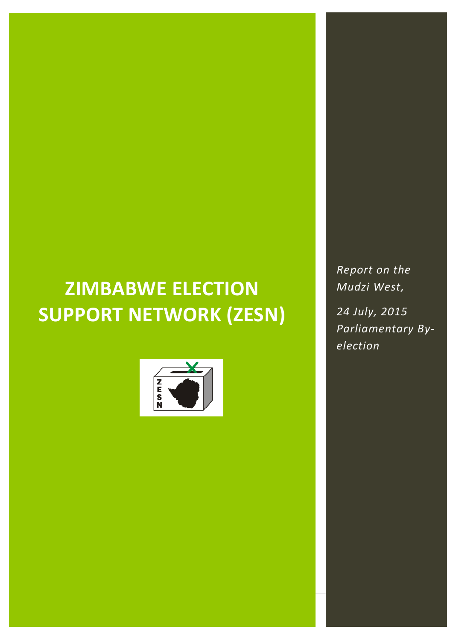# **ZIMBABWE ELECTION SUPPORT NETWORK (ZESN)**



*Report on the Mudzi West,* 

*24 July, 2015 Parliamentary Byelection*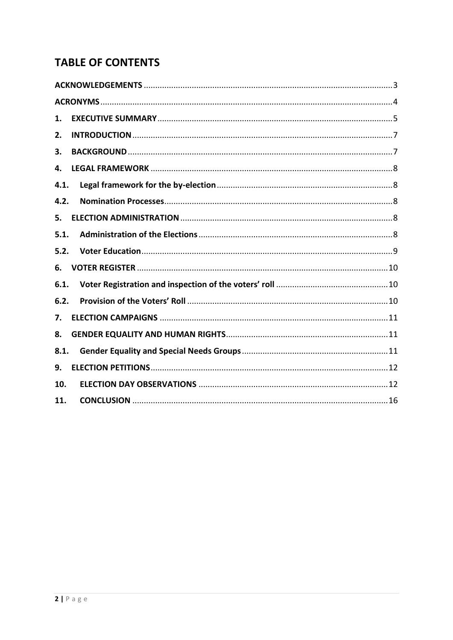# **TABLE OF CONTENTS**

| 1.   |  |  |
|------|--|--|
| 2.   |  |  |
| 3.   |  |  |
| 4.   |  |  |
| 4.1. |  |  |
| 4.2. |  |  |
| 5.   |  |  |
| 5.1. |  |  |
| 5.2. |  |  |
| 6.   |  |  |
| 6.1. |  |  |
| 6.2. |  |  |
| 7.   |  |  |
| 8.   |  |  |
| 8.1. |  |  |
| 9.   |  |  |
| 10.  |  |  |
| 11.  |  |  |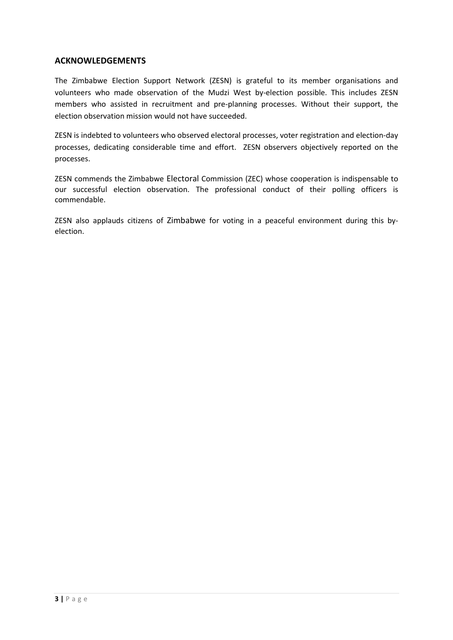#### <span id="page-2-0"></span>**ACKNOWLEDGEMENTS**

The Zimbabwe Election Support Network (ZESN) is grateful to its member organisations and volunteers who made observation of the Mudzi West by-election possible. This includes ZESN members who assisted in recruitment and pre-planning processes. Without their support, the election observation mission would not have succeeded.

ZESN is indebted to volunteers who observed electoral processes, voter registration and election-day processes, dedicating considerable time and effort. ZESN observers objectively reported on the processes.

ZESN commends the Zimbabwe Electoral Commission (ZEC) whose cooperation is indispensable to our successful election observation. The professional conduct of their polling officers is commendable.

ZESN also applauds citizens of Zimbabwe for voting in a peaceful environment during this byelection.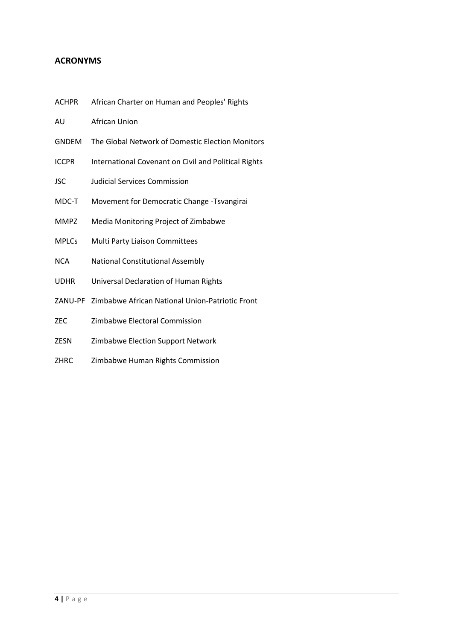#### <span id="page-3-0"></span>**ACRONYMS**

- ACHPR African Charter on Human and Peoples' Rights
- AU African Union
- GNDEM The Global Network of Domestic Election Monitors
- ICCPR International Covenant on Civil and Political Rights
- JSC Judicial Services Commission
- MDC-T Movement for Democratic Change -Tsvangirai
- MMPZ Media Monitoring Project of Zimbabwe
- MPLCs Multi Party Liaison Committees
- NCA National Constitutional Assembly
- UDHR Universal Declaration of Human Rights
- ZANU-PF Zimbabwe African National Union-Patriotic Front
- ZEC Zimbabwe Electoral Commission
- ZESN Zimbabwe Election Support Network
- ZHRC Zimbabwe Human Rights Commission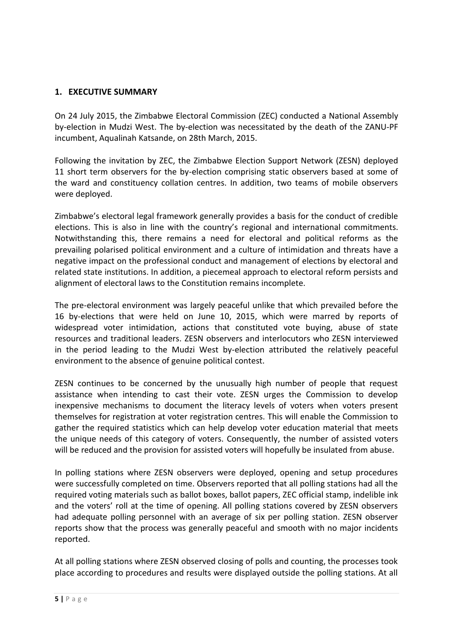#### <span id="page-4-0"></span>**1. EXECUTIVE SUMMARY**

On 24 July 2015, the Zimbabwe Electoral Commission (ZEC) conducted a National Assembly by-election in Mudzi West. The by-election was necessitated by the death of the ZANU-PF incumbent, Aqualinah Katsande, on 28th March, 2015.

Following the invitation by ZEC, the Zimbabwe Election Support Network (ZESN) deployed 11 short term observers for the by-election comprising static observers based at some of the ward and constituency collation centres. In addition, two teams of mobile observers were deployed.

Zimbabwe's electoral legal framework generally provides a basis for the conduct of credible elections. This is also in line with the country's regional and international commitments. Notwithstanding this, there remains a need for electoral and political reforms as the prevailing polarised political environment and a culture of intimidation and threats have a negative impact on the professional conduct and management of elections by electoral and related state institutions. In addition, a piecemeal approach to electoral reform persists and alignment of electoral laws to the Constitution remains incomplete.

The pre-electoral environment was largely peaceful unlike that which prevailed before the 16 by-elections that were held on June 10, 2015, which were marred by reports of widespread voter intimidation, actions that constituted vote buying, abuse of state resources and traditional leaders. ZESN observers and interlocutors who ZESN interviewed in the period leading to the Mudzi West by-election attributed the relatively peaceful environment to the absence of genuine political contest.

ZESN continues to be concerned by the unusually high number of people that request assistance when intending to cast their vote. ZESN urges the Commission to develop inexpensive mechanisms to document the literacy levels of voters when voters present themselves for registration at voter registration centres. This will enable the Commission to gather the required statistics which can help develop voter education material that meets the unique needs of this category of voters. Consequently, the number of assisted voters will be reduced and the provision for assisted voters will hopefully be insulated from abuse.

In polling stations where ZESN observers were deployed, opening and setup procedures were successfully completed on time. Observers reported that all polling stations had all the required voting materials such as ballot boxes, ballot papers, ZEC official stamp, indelible ink and the voters' roll at the time of opening. All polling stations covered by ZESN observers had adequate polling personnel with an average of six per polling station. ZESN observer reports show that the process was generally peaceful and smooth with no major incidents reported.

At all polling stations where ZESN observed closing of polls and counting, the processes took place according to procedures and results were displayed outside the polling stations. At all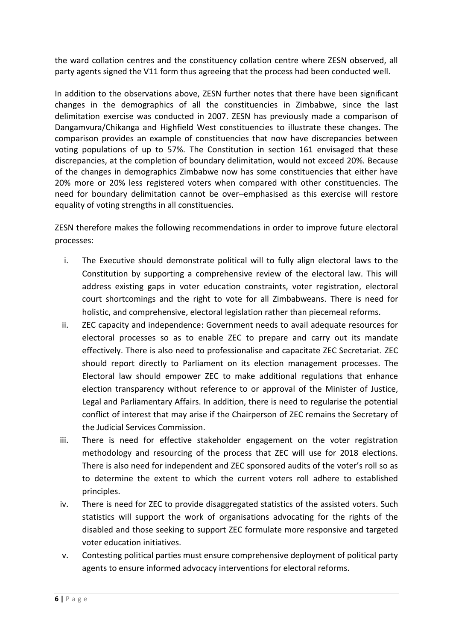the ward collation centres and the constituency collation centre where ZESN observed, all party agents signed the V11 form thus agreeing that the process had been conducted well.

In addition to the observations above, ZESN further notes that there have been significant changes in the demographics of all the constituencies in Zimbabwe, since the last delimitation exercise was conducted in 2007. ZESN has previously made a comparison of Dangamvura/Chikanga and Highfield West constituencies to illustrate these changes. The comparison provides an example of constituencies that now have discrepancies between voting populations of up to 57%. The Constitution in section 161 envisaged that these discrepancies, at the completion of boundary delimitation, would not exceed 20%. Because of the changes in demographics Zimbabwe now has some constituencies that either have 20% more or 20% less registered voters when compared with other constituencies. The need for boundary delimitation cannot be over–emphasised as this exercise will restore equality of voting strengths in all constituencies.

ZESN therefore makes the following recommendations in order to improve future electoral processes:

- i. The Executive should demonstrate political will to fully align electoral laws to the Constitution by supporting a comprehensive review of the electoral law. This will address existing gaps in voter education constraints, voter registration, electoral court shortcomings and the right to vote for all Zimbabweans. There is need for holistic, and comprehensive, electoral legislation rather than piecemeal reforms.
- ii. ZEC capacity and independence: Government needs to avail adequate resources for electoral processes so as to enable ZEC to prepare and carry out its mandate effectively. There is also need to professionalise and capacitate ZEC Secretariat. ZEC should report directly to Parliament on its election management processes. The Electoral law should empower ZEC to make additional regulations that enhance election transparency without reference to or approval of the Minister of Justice, Legal and Parliamentary Affairs. In addition, there is need to regularise the potential conflict of interest that may arise if the Chairperson of ZEC remains the Secretary of the Judicial Services Commission.
- iii. There is need for effective stakeholder engagement on the voter registration methodology and resourcing of the process that ZEC will use for 2018 elections. There is also need for independent and ZEC sponsored audits of the voter's roll so as to determine the extent to which the current voters roll adhere to established principles.
- iv. There is need for ZEC to provide disaggregated statistics of the assisted voters. Such statistics will support the work of organisations advocating for the rights of the disabled and those seeking to support ZEC formulate more responsive and targeted voter education initiatives.
- v. Contesting political parties must ensure comprehensive deployment of political party agents to ensure informed advocacy interventions for electoral reforms.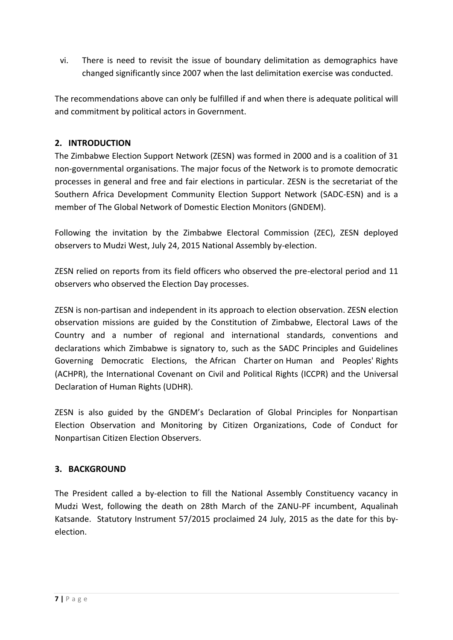vi. There is need to revisit the issue of boundary delimitation as demographics have changed significantly since 2007 when the last delimitation exercise was conducted.

The recommendations above can only be fulfilled if and when there is adequate political will and commitment by political actors in Government.

# <span id="page-6-0"></span>**2. INTRODUCTION**

The Zimbabwe Election Support Network (ZESN) was formed in 2000 and is a coalition of 31 non-governmental organisations. The major focus of the Network is to promote democratic processes in general and free and fair elections in particular. ZESN is the secretariat of the Southern Africa Development Community Election Support Network (SADC-ESN) and is a member of The Global Network of Domestic Election Monitors (GNDEM).

Following the invitation by the Zimbabwe Electoral Commission (ZEC), ZESN deployed observers to Mudzi West, July 24, 2015 National Assembly by-election.

ZESN relied on reports from its field officers who observed the pre-electoral period and 11 observers who observed the Election Day processes.

ZESN is non-partisan and independent in its approach to election observation. ZESN election observation missions are guided by the Constitution of Zimbabwe, Electoral Laws of the Country and a number of regional and international standards, conventions and declarations which Zimbabwe is signatory to, such as the SADC Principles and Guidelines Governing Democratic Elections, the African Charter on Human and Peoples' Rights (ACHPR), the International Covenant on Civil and Political Rights (ICCPR) and the Universal Declaration of Human Rights (UDHR).

ZESN is also guided by the GNDEM's Declaration of Global Principles for Nonpartisan Election Observation and Monitoring by Citizen Organizations, Code of Conduct for Nonpartisan Citizen Election Observers.

#### <span id="page-6-1"></span>**3. BACKGROUND**

The President called a by-election to fill the National Assembly Constituency vacancy in Mudzi West, following the death on 28th March of the ZANU-PF incumbent, Aqualinah Katsande. Statutory Instrument 57/2015 proclaimed 24 July, 2015 as the date for this byelection.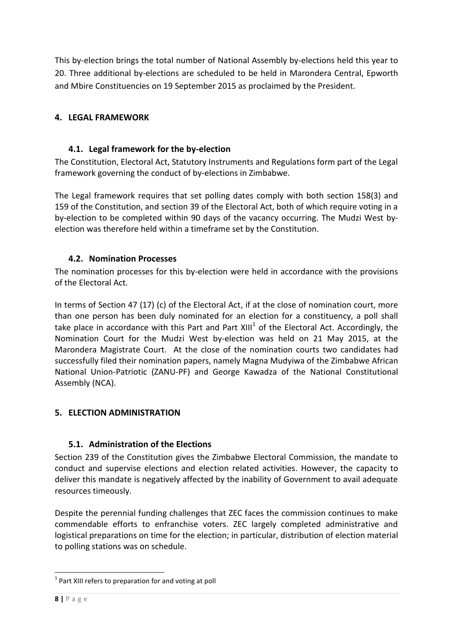This by-election brings the total number of National Assembly by-elections held this year to 20. Three additional by-elections are scheduled to be held in Marondera Central, Epworth and Mbire Constituencies on 19 September 2015 as proclaimed by the President.

# <span id="page-7-1"></span><span id="page-7-0"></span>**4. LEGAL FRAMEWORK**

# **4.1. Legal framework for the by-election**

The Constitution, Electoral Act, Statutory Instruments and Regulations form part of the Legal framework governing the conduct of by-elections in Zimbabwe.

The Legal framework requires that set polling dates comply with both section 158(3) and 159 of the Constitution, and section 39 of the Electoral Act, both of which require voting in a by-election to be completed within 90 days of the vacancy occurring. The Mudzi West byelection was therefore held within a timeframe set by the Constitution.

# <span id="page-7-2"></span>**4.2. Nomination Processes**

The nomination processes for this by-election were held in accordance with the provisions of the Electoral Act.

In terms of Section 47 (17) (c) of the Electoral Act, if at the close of nomination court, more than one person has been duly nominated for an election for a constituency, a poll shall take place in accordance with this Part and Part XIII<sup>1</sup> of the Electoral Act. Accordingly, the Nomination Court for the Mudzi West by-election was held on 21 May 2015, at the Marondera Magistrate Court. At the close of the nomination courts two candidates had successfully filed their nomination papers, namely Magna Mudyiwa of the Zimbabwe African National Union-Patriotic (ZANU-PF) and George Kawadza of the National Constitutional Assembly (NCA).

# <span id="page-7-4"></span><span id="page-7-3"></span>**5. ELECTION ADMINISTRATION**

# **5.1. Administration of the Elections**

Section 239 of the Constitution gives the Zimbabwe Electoral Commission, the mandate to conduct and supervise elections and election related activities. However, the capacity to deliver this mandate is negatively affected by the inability of Government to avail adequate resources timeously.

Despite the perennial funding challenges that ZEC faces the commission continues to make commendable efforts to enfranchise voters. ZEC largely completed administrative and logistical preparations on time for the election; in particular, distribution of election material to polling stations was on schedule.

 $\overline{a}$ 

 $1$  Part XIII refers to preparation for and voting at poll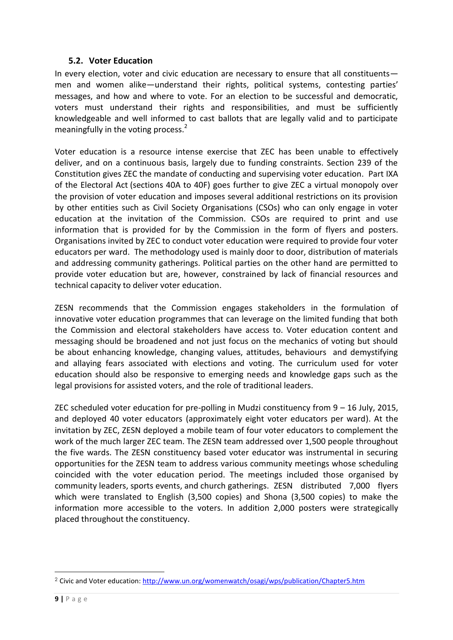#### **5.2. Voter Education**

<span id="page-8-0"></span>In every election, voter and civic education are necessary to ensure that all constituents men and women alike—understand their rights, political systems, contesting parties' messages, and how and where to vote. For an election to be successful and democratic, voters must understand their rights and responsibilities, and must be sufficiently knowledgeable and well informed to cast ballots that are legally valid and to participate meaningfully in the voting process. $2$ 

Voter education is a resource intense exercise that ZEC has been unable to effectively deliver, and on a continuous basis, largely due to funding constraints. Section 239 of the Constitution gives ZEC the mandate of conducting and supervising voter education. Part IXA of the Electoral Act (sections 40A to 40F) goes further to give ZEC a virtual monopoly over the provision of voter education and imposes several additional restrictions on its provision by other entities such as Civil Society Organisations (CSOs) who can only engage in voter education at the invitation of the Commission. CSOs are required to print and use information that is provided for by the Commission in the form of flyers and posters. Organisations invited by ZEC to conduct voter education were required to provide four voter educators per ward. The methodology used is mainly door to door, distribution of materials and addressing community gatherings. Political parties on the other hand are permitted to provide voter education but are, however, constrained by lack of financial resources and technical capacity to deliver voter education.

ZESN recommends that the Commission engages stakeholders in the formulation of innovative voter education programmes that can leverage on the limited funding that both the Commission and electoral stakeholders have access to. Voter education content and messaging should be broadened and not just focus on the mechanics of voting but should be about enhancing knowledge, changing values, attitudes, behaviours and demystifying and allaying fears associated with elections and voting. The curriculum used for voter education should also be responsive to emerging needs and knowledge gaps such as the legal provisions for assisted voters, and the role of traditional leaders.

ZEC scheduled voter education for pre-polling in Mudzi constituency from 9 – 16 July, 2015, and deployed 40 voter educators (approximately eight voter educators per ward). At the invitation by ZEC, ZESN deployed a mobile team of four voter educators to complement the work of the much larger ZEC team. The ZESN team addressed over 1,500 people throughout the five wards. The ZESN constituency based voter educator was instrumental in securing opportunities for the ZESN team to address various community meetings whose scheduling coincided with the voter education period. The meetings included those organised by community leaders, sports events, and church gatherings. ZESN distributed 7,000 flyers which were translated to English (3,500 copies) and Shona (3,500 copies) to make the information more accessible to the voters. In addition 2,000 posters were strategically placed throughout the constituency.

 $\overline{a}$ 

<sup>&</sup>lt;sup>2</sup> Civic and Voter education[: http://www.un.org/womenwatch/osagi/wps/publication/Chapter5.htm](http://www.un.org/womenwatch/osagi/wps/publication/Chapter5.htm)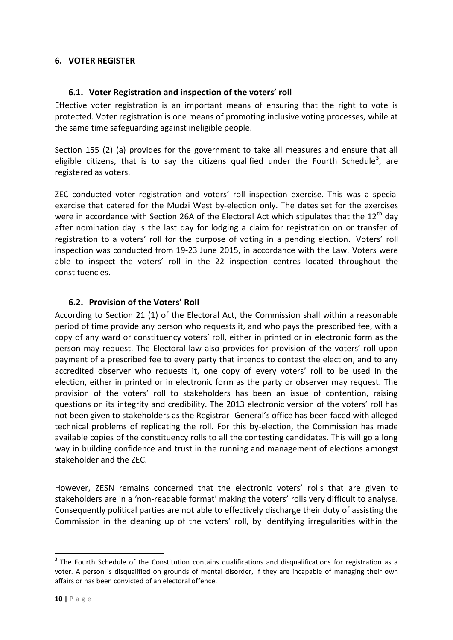# <span id="page-9-1"></span><span id="page-9-0"></span>**6. VOTER REGISTER**

#### **6.1. Voter Registration and inspection of the voters' roll**

Effective voter registration is an important means of ensuring that the right to vote is protected. Voter registration is one means of promoting inclusive voting processes, while at the same time safeguarding against ineligible people.

Section 155 (2) (a) provides for the government to take all measures and ensure that all eligible citizens, that is to say the citizens qualified under the Fourth Schedule<sup>3</sup>, are registered as voters.

ZEC conducted voter registration and voters' roll inspection exercise. This was a special exercise that catered for the Mudzi West by-election only. The dates set for the exercises were in accordance with Section 26A of the Electoral Act which stipulates that the 12<sup>th</sup> day after nomination day is the last day for lodging a claim for registration on or transfer of registration to a voters' roll for the purpose of voting in a pending election. Voters' roll inspection was conducted from 19-23 June 2015, in accordance with the Law. Voters were able to inspect the voters' roll in the 22 inspection centres located throughout the constituencies.

# <span id="page-9-2"></span>**6.2. Provision of the Voters' Roll**

According to Section 21 (1) of the Electoral Act, the Commission shall within a reasonable period of time provide any person who requests it, and who pays the prescribed fee, with a copy of any ward or constituency voters' roll, either in printed or in electronic form as the person may request. The Electoral law also provides for provision of the voters' roll upon payment of a prescribed fee to every party that intends to contest the election, and to any accredited observer who requests it, one copy of every voters' roll to be used in the election, either in printed or in electronic form as the party or observer may request. The provision of the voters' roll to stakeholders has been an issue of contention, raising questions on its integrity and credibility. The 2013 electronic version of the voters' roll has not been given to stakeholders as the Registrar- General's office has been faced with alleged technical problems of replicating the roll. For this by-election, the Commission has made available copies of the constituency rolls to all the contesting candidates. This will go a long way in building confidence and trust in the running and management of elections amongst stakeholder and the ZEC.

However, ZESN remains concerned that the electronic voters' rolls that are given to stakeholders are in a 'non-readable format' making the voters' rolls very difficult to analyse. Consequently political parties are not able to effectively discharge their duty of assisting the Commission in the cleaning up of the voters' roll, by identifying irregularities within the

-

 $3$  The Fourth Schedule of the Constitution contains qualifications and disqualifications for registration as a voter. A person is disqualified on grounds of mental disorder, if they are incapable of managing their own affairs or has been convicted of an electoral offence.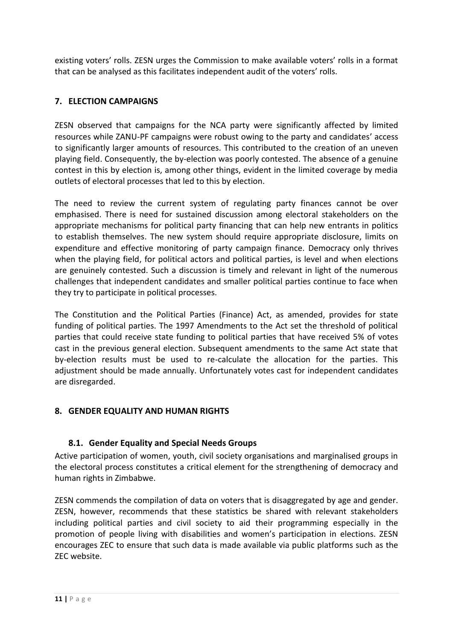existing voters' rolls. ZESN urges the Commission to make available voters' rolls in a format that can be analysed as this facilitates independent audit of the voters' rolls.

# <span id="page-10-0"></span>**7. ELECTION CAMPAIGNS**

ZESN observed that campaigns for the NCA party were significantly affected by limited resources while ZANU-PF campaigns were robust owing to the party and candidates' access to significantly larger amounts of resources. This contributed to the creation of an uneven playing field. Consequently, the by-election was poorly contested. The absence of a genuine contest in this by election is, among other things, evident in the limited coverage by media outlets of electoral processes that led to this by election.

The need to review the current system of regulating party finances cannot be over emphasised. There is need for sustained discussion among electoral stakeholders on the appropriate mechanisms for political party financing that can help new entrants in politics to establish themselves. The new system should require appropriate disclosure, limits on expenditure and effective monitoring of party campaign finance. Democracy only thrives when the playing field, for political actors and political parties, is level and when elections are genuinely contested. Such a discussion is timely and relevant in light of the numerous challenges that independent candidates and smaller political parties continue to face when they try to participate in political processes.

The Constitution and the Political Parties (Finance) Act, as amended, provides for state funding of political parties. The 1997 Amendments to the Act set the threshold of political parties that could receive state funding to political parties that have received 5% of votes cast in the previous general election. Subsequent amendments to the same Act state that by-election results must be used to re-calculate the allocation for the parties. This adjustment should be made annually. Unfortunately votes cast for independent candidates are disregarded.

#### <span id="page-10-2"></span><span id="page-10-1"></span>**8. GENDER EQUALITY AND HUMAN RIGHTS**

#### **8.1. Gender Equality and Special Needs Groups**

Active participation of women, youth, civil society organisations and marginalised groups in the electoral process constitutes a critical element for the strengthening of democracy and human rights in Zimbabwe.

ZESN commends the compilation of data on voters that is disaggregated by age and gender. ZESN, however, recommends that these statistics be shared with relevant stakeholders including political parties and civil society to aid their programming especially in the promotion of people living with disabilities and women's participation in elections. ZESN encourages ZEC to ensure that such data is made available via public platforms such as the ZEC website.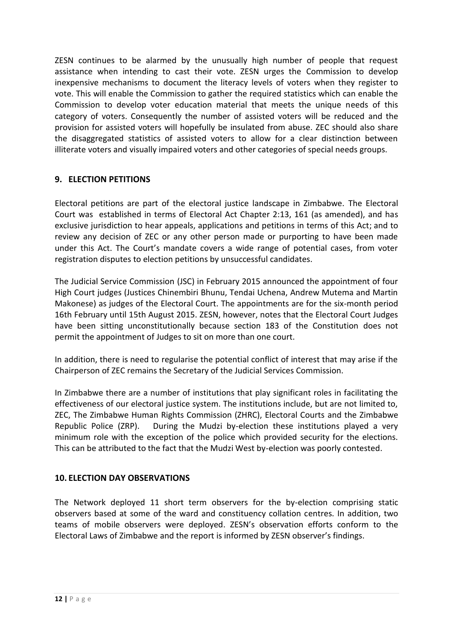ZESN continues to be alarmed by the unusually high number of people that request assistance when intending to cast their vote. ZESN urges the Commission to develop inexpensive mechanisms to document the literacy levels of voters when they register to vote. This will enable the Commission to gather the required statistics which can enable the Commission to develop voter education material that meets the unique needs of this category of voters. Consequently the number of assisted voters will be reduced and the provision for assisted voters will hopefully be insulated from abuse. ZEC should also share the disaggregated statistics of assisted voters to allow for a clear distinction between illiterate voters and visually impaired voters and other categories of special needs groups.

# <span id="page-11-0"></span>**9. ELECTION PETITIONS**

Electoral petitions are part of the electoral justice landscape in Zimbabwe. The Electoral Court was established in terms of Electoral Act Chapter 2:13, 161 (as amended), and has exclusive jurisdiction to hear appeals, applications and petitions in terms of this Act; and to review any decision of ZEC or any other person made or purporting to have been made under this Act. The Court's mandate covers a wide range of potential cases, from voter registration disputes to election petitions by unsuccessful candidates.

The Judicial Service Commission (JSC) in February 2015 announced the appointment of four High Court judges (Justices Chinembiri Bhunu, Tendai Uchena, Andrew Mutema and Martin Makonese) as judges of the Electoral Court. The appointments are for the six-month period 16th February until 15th August 2015. ZESN, however, notes that the Electoral Court Judges have been sitting unconstitutionally because section 183 of the Constitution does not permit the appointment of Judges to sit on more than one court.

In addition, there is need to regularise the potential conflict of interest that may arise if the Chairperson of ZEC remains the Secretary of the Judicial Services Commission.

In Zimbabwe there are a number of institutions that play significant roles in facilitating the effectiveness of our electoral justice system. The institutions include, but are not limited to, ZEC, The Zimbabwe Human Rights Commission (ZHRC), Electoral Courts and the Zimbabwe Republic Police (ZRP). During the Mudzi by-election these institutions played a very minimum role with the exception of the police which provided security for the elections. This can be attributed to the fact that the Mudzi West by-election was poorly contested.

#### <span id="page-11-1"></span>**10. ELECTION DAY OBSERVATIONS**

The Network deployed 11 short term observers for the by-election comprising static observers based at some of the ward and constituency collation centres. In addition, two teams of mobile observers were deployed. ZESN's observation efforts conform to the Electoral Laws of Zimbabwe and the report is informed by ZESN observer's findings.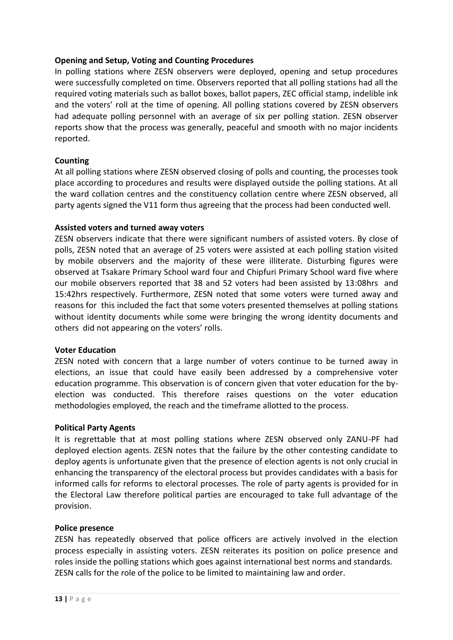#### **Opening and Setup, Voting and Counting Procedures**

In polling stations where ZESN observers were deployed, opening and setup procedures were successfully completed on time. Observers reported that all polling stations had all the required voting materials such as ballot boxes, ballot papers, ZEC official stamp, indelible ink and the voters' roll at the time of opening. All polling stations covered by ZESN observers had adequate polling personnel with an average of six per polling station. ZESN observer reports show that the process was generally, peaceful and smooth with no major incidents reported.

#### **Counting**

At all polling stations where ZESN observed closing of polls and counting, the processes took place according to procedures and results were displayed outside the polling stations. At all the ward collation centres and the constituency collation centre where ZESN observed, all party agents signed the V11 form thus agreeing that the process had been conducted well.

#### **Assisted voters and turned away voters**

ZESN observers indicate that there were significant numbers of assisted voters. By close of polls, ZESN noted that an average of 25 voters were assisted at each polling station visited by mobile observers and the majority of these were illiterate. Disturbing figures were observed at Tsakare Primary School ward four and Chipfuri Primary School ward five where our mobile observers reported that 38 and 52 voters had been assisted by 13:08hrs and 15:42hrs respectively. Furthermore, ZESN noted that some voters were turned away and reasons for this included the fact that some voters presented themselves at polling stations without identity documents while some were bringing the wrong identity documents and others did not appearing on the voters' rolls.

#### **Voter Education**

ZESN noted with concern that a large number of voters continue to be turned away in elections, an issue that could have easily been addressed by a comprehensive voter education programme. This observation is of concern given that voter education for the byelection was conducted. This therefore raises questions on the voter education methodologies employed, the reach and the timeframe allotted to the process.

#### **Political Party Agents**

It is regrettable that at most polling stations where ZESN observed only ZANU-PF had deployed election agents. ZESN notes that the failure by the other contesting candidate to deploy agents is unfortunate given that the presence of election agents is not only crucial in enhancing the transparency of the electoral process but provides candidates with a basis for informed calls for reforms to electoral processes. The role of party agents is provided for in the Electoral Law therefore political parties are encouraged to take full advantage of the provision.

#### **Police presence**

ZESN has repeatedly observed that police officers are actively involved in the election process especially in assisting voters. ZESN reiterates its position on police presence and roles inside the polling stations which goes against international best norms and standards. ZESN calls for the role of the police to be limited to maintaining law and order.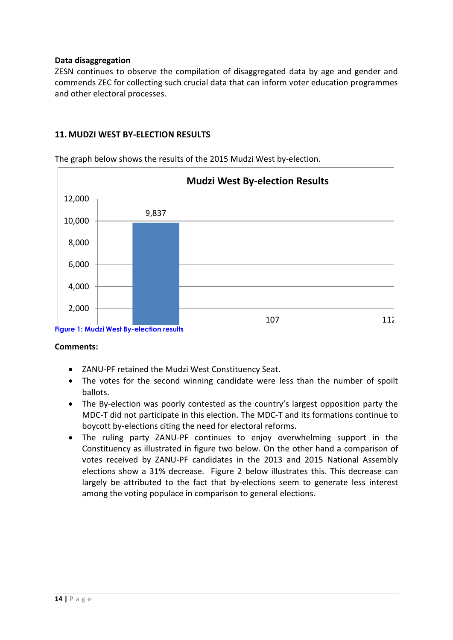#### **Data disaggregation**

ZESN continues to observe the compilation of disaggregated data by age and gender and commends ZEC for collecting such crucial data that can inform voter education programmes and other electoral processes.

#### **11. MUDZI WEST BY-ELECTION RESULTS**

9,837 107 112 0 **Figure 1: Mudzi West By-election results** 2,000 4,000 6,000 8,000 10,000 12,000 **Mudzi West By-election Results**

The graph below shows the results of the 2015 Mudzi West by-election.

#### **Comments:**

- ZANU-PF retained the Mudzi West Constituency Seat.
- The votes for the second winning candidate were less than the number of spoilt ballots.
- The By-election was poorly contested as the country's largest opposition party the MDC-T did not participate in this election. The MDC-T and its formations continue to boycott by-elections citing the need for electoral reforms.
- The ruling party ZANU-PF continues to enjoy overwhelming support in the Constituency as illustrated in figure two below. On the other hand a comparison of votes received by ZANU-PF candidates in the 2013 and 2015 National Assembly elections show a 31% decrease. Figure 2 below illustrates this. This decrease can largely be attributed to the fact that by-elections seem to generate less interest among the voting populace in comparison to general elections.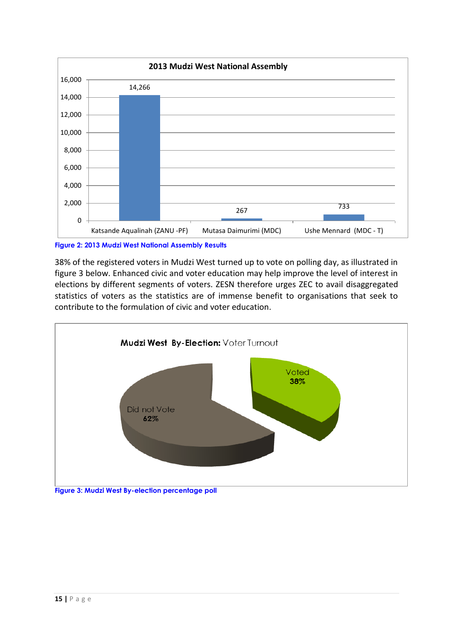

**Figure 2: 2013 Mudzi West National Assembly Results**

38% of the registered voters in Mudzi West turned up to vote on polling day, as illustrated in figure 3 below. Enhanced civic and voter education may help improve the level of interest in elections by different segments of voters. ZESN therefore urges ZEC to avail disaggregated statistics of voters as the statistics are of immense benefit to organisations that seek to contribute to the formulation of civic and voter education.

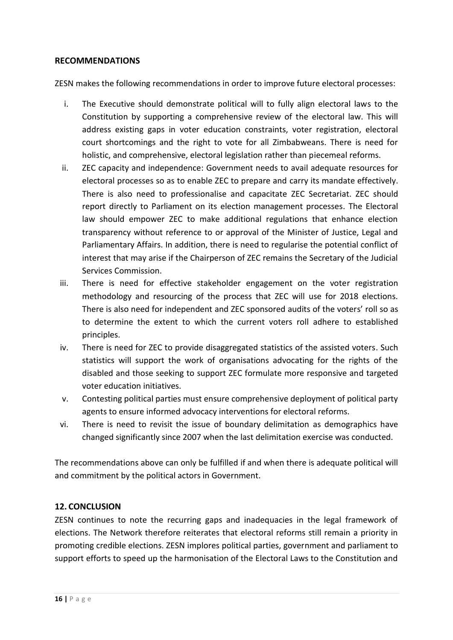#### **RECOMMENDATIONS**

ZESN makes the following recommendations in order to improve future electoral processes:

- i. The Executive should demonstrate political will to fully align electoral laws to the Constitution by supporting a comprehensive review of the electoral law. This will address existing gaps in voter education constraints, voter registration, electoral court shortcomings and the right to vote for all Zimbabweans. There is need for holistic, and comprehensive, electoral legislation rather than piecemeal reforms.
- ii. ZEC capacity and independence: Government needs to avail adequate resources for electoral processes so as to enable ZEC to prepare and carry its mandate effectively. There is also need to professionalise and capacitate ZEC Secretariat. ZEC should report directly to Parliament on its election management processes. The Electoral law should empower ZEC to make additional regulations that enhance election transparency without reference to or approval of the Minister of Justice, Legal and Parliamentary Affairs. In addition, there is need to regularise the potential conflict of interest that may arise if the Chairperson of ZEC remains the Secretary of the Judicial Services Commission.
- iii. There is need for effective stakeholder engagement on the voter registration methodology and resourcing of the process that ZEC will use for 2018 elections. There is also need for independent and ZEC sponsored audits of the voters' roll so as to determine the extent to which the current voters roll adhere to established principles.
- iv. There is need for ZEC to provide disaggregated statistics of the assisted voters. Such statistics will support the work of organisations advocating for the rights of the disabled and those seeking to support ZEC formulate more responsive and targeted voter education initiatives.
- v. Contesting political parties must ensure comprehensive deployment of political party agents to ensure informed advocacy interventions for electoral reforms.
- vi. There is need to revisit the issue of boundary delimitation as demographics have changed significantly since 2007 when the last delimitation exercise was conducted.

The recommendations above can only be fulfilled if and when there is adequate political will and commitment by the political actors in Government.

#### <span id="page-15-0"></span>**12. CONCLUSION**

ZESN continues to note the recurring gaps and inadequacies in the legal framework of elections. The Network therefore reiterates that electoral reforms still remain a priority in promoting credible elections. ZESN implores political parties, government and parliament to support efforts to speed up the harmonisation of the Electoral Laws to the Constitution and